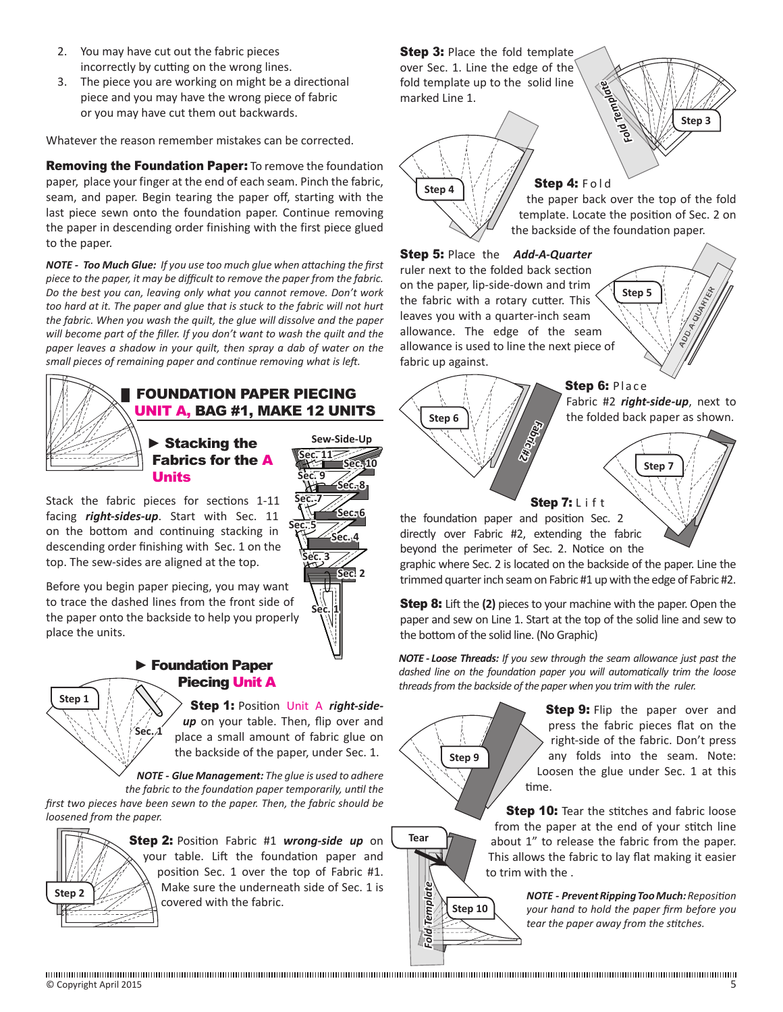- 2. You may have cut out the fabric pieces incorrectly by cutting on the wrong lines.
- 3. The piece you are working on might be a directional piece and you may have the wrong piece of fabric or you may have cut them out backwards.

Whatever the reason remember mistakes can be corrected.

Removing the Foundation Paper: To remove the foundation paper, place your finger at the end of each seam. Pinch the fabric, seam, and paper. Begin tearing the paper off, starting with the last piece sewn onto the foundation paper. Continue removing the paper in descending order finishing with the first piece glued to the paper.

*NOTE - Too Much Glue: If you use too much glue when attaching the first piece to the paper, it may be difficult to remove the paper from the fabric. Do the best you can, leaving only what you cannot remove. Don't work too hard at it. The paper and glue that is stuck to the fabric will not hurt the fabric. When you wash the quilt, the glue will dissolve and the paper will become part of the filler. If you don't want to wash the quilt and the paper leaves a shadow in your quilt, then spray a dab of water on the small pieces of remaining paper and continue removing what is left.*



## **FOUNDATION PAPER PIECING** UNIT A, BAG #1, MAKE 12 UNITS

**Sew-Side-Up**

 $-117$ 

**Sec. 1**

**Sec. 3**

**Sec. 5**

**Sec. 7**

**Sec. 9**

**Sec. 2**

**Sec. 4**

**Sec. 6**

**Sec. 8**

**Sec. 10**

### ► Stacking the Fabrics for the A Units

Stack the fabric pieces for sections 1-11 facing *right-sides-up*. Start with Sec. 11 on the bottom and continuing stacking in descending order finishing with Sec. 1 on the top. The sew-sides are aligned at the top.

Before you begin paper piecing, you may want to trace the dashed lines from the front side of the paper onto the backside to help you properly place the units.

**Sec. 1**

### ► Foundation Paper Piecing Unit A

Step 1: Position Unit A *right-sideup* on your table. Then, flip over and place a small amount of fabric glue on the backside of the paper, under Sec. 1.

*NOTE - Glue Management: The glue is used to adhere the fabric to the foundation paper temporarily, until the first two pieces have been sewn to the paper. Then, the fabric should be loosened from the paper.*



**Step 1**

Step 2: Position Fabric #1 *wrong-side up* on your table. Lift the foundation paper and position Sec. 1 over the top of Fabric #1. Make sure the underneath side of Sec. 1 is covered with the fabric.

**Step 3:** Place the fold template over Sec. 1. Line the edge of the fold template up to the solid line marked Line 1.

**Step 4**

*Fold Template* **Step 3**

**QUART** 

Step 4: Fold the paper back over the top of the fold template. Locate the position of Sec. 2 on the backside of the foundation paper.

**Step 5** 

#### Step 5: Place the *Add-A-Quarter* ruler next to the folded back section on the paper, lip-side-down and trim the fabric with a rotary cutter. This leaves you with a quarter-inch seam allowance. The edge of the seam allowance is used to line the next piece of fabric up against.



beyond the perimeter of Sec. 2. Notice on the graphic where Sec. 2 is located on the backside of the paper. Line the trimmed quarter inch seam on Fabric #1 up with the edge of Fabric #2.

**Step 8:** Lift the (2) pieces to your machine with the paper. Open the paper and sew on Line 1. Start at the top of the solid line and sew to the bottom of the solid line. (No Graphic)

*NOTE - Loose Threads: If you sew through the seam allowance just past the dashed line on the foundation paper you will automatically trim the loose threads from the backside of the paper when you trim with the ruler.*

> **Step 9:** Flip the paper over and press the fabric pieces flat on the right-side of the fabric. Don't press any folds into the seam. Note: Loosen the glue under Sec. 1 at this time.

**Step 10:** Tear the stitches and fabric loose from the paper at the end of your stitch line about 1" to release the fabric from the paper. This allows the fabric to lay flat making it easier to trim with the .

> *NOTE - Prevent Ripping Too Much: Reposition your hand to hold the paper firm before you tear the paper away from the stitches.*



*Fold Template*

**p**lo:

Template

**Tear**

**Step 9**

**Step 10**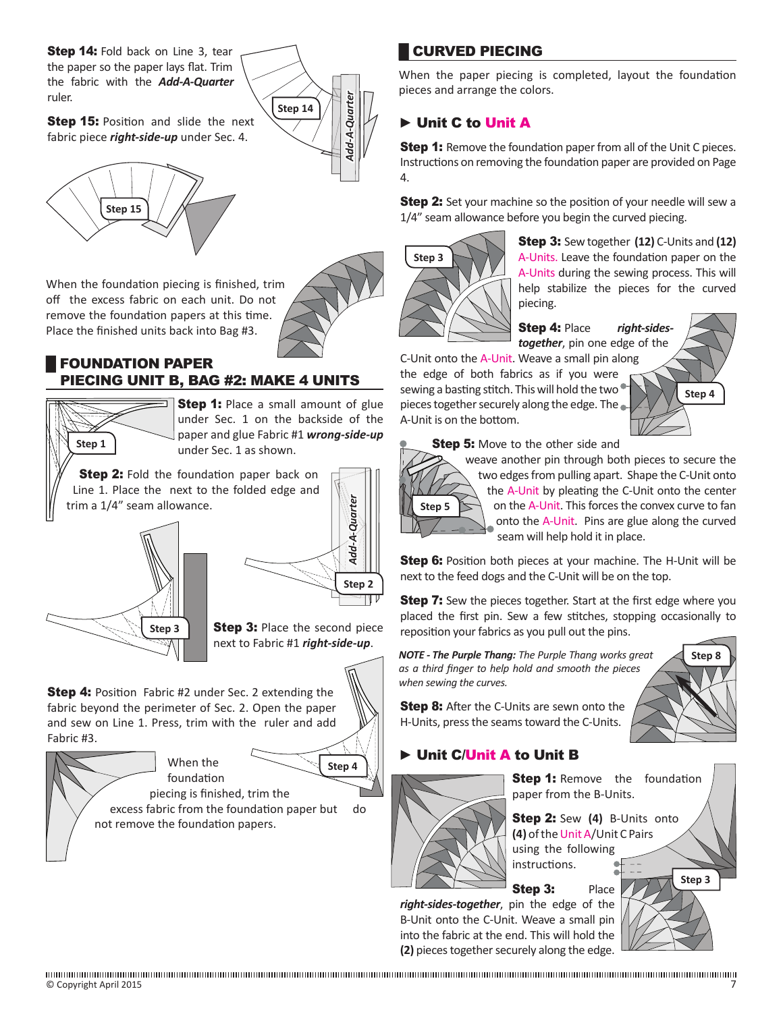**Step 14:** Fold back on Line 3, tear the paper so the paper lays flat. Trim the fabric with the *Add-A-Quarter* ruler.

**Step 15: Position and slide the next** fabric piece *right-side-up* under Sec. 4.



When the foundation piecing is finished, trim off the excess fabric on each unit. Do not remove the foundation papers at this time. Place the finished units back into Bag #3.

3.

## **FOUNDATION PAPER** PIECING UNIT B, BAG #2: MAKE 4 UNITS



**Step 1:** Place a small amount of glue under Sec. 1 on the backside of the paper and glue Fabric #1 *wrong-side-up* under Sec. 1 as shown.

**Step 2:** Fold the foundation paper back on Line 1. Place the next to the folded edge and trim a 1/4" seam allowance.



**Step 3: Place the second piece** 

**Step 4:** Position Fabric #2 under Sec. 2 extending the fabric beyond the perimeter of Sec. 2. Open the paper and sew on Line 1. Press, trim with the ruler and add Fabric #3.

> When the foundation



*Add-A-Quarter*

Add-A-Quarter

*Add-A-Quarter*

dd-A-Quarter

**Step 14**

**Step 2**

piecing is finished, trim the excess fabric from the foundation paper but do not remove the foundation papers.

# █ CURVED PIECING

When the paper piecing is completed, layout the foundation pieces and arrange the colors.

# ► Unit C to Unit A

**Step 1:** Remove the foundation paper from all of the Unit C pieces. Instructions on removing the foundation paper are provided on Page 4.

**Step 2:** Set your machine so the position of your needle will sew a 1/4" seam allowance before you begin the curved piecing.



A-Unit is on the bottom.

Step 3: Sew together **(12)** C-Units and **(12)** A-Units. Leave the foundation paper on the A-Units during the sewing process. This will help stabilize the pieces for the curved piecing.

## Step 4: Place *right-sides-*

*together*, pin one edge of the C-Unit onto the A-Unit. Weave a small pin along the edge of both fabrics as if you were sewing a basting stitch. This will hold the two



**Step 8**

**Step 5:** Move to the other side and

pieces together securely along the edge. The



weave another pin through both pieces to secure the two edges from pulling apart. Shape the C-Unit onto the A-Unit by pleating the C-Unit onto the center on the A-Unit. This forces the convex curve to fan onto the A-Unit. Pins are glue along the curved seam will help hold it in place.

**Step 6:** Position both pieces at your machine. The H-Unit will be next to the feed dogs and the C-Unit will be on the top.

**Step 7:** Sew the pieces together. Start at the first edge where you placed the first pin. Sew a few stitches, stopping occasionally to reposition your fabrics as you pull out the pins.

*NOTE - The Purple Thang: The Purple Thang works great as a third finger to help hold and smooth the pieces when sewing the curves.*

**Step 8:** After the C-Units are sewn onto the H-Units, press the seams toward the C-Units.

# ► Unit C/Unit A to Unit B



**Step 1:** Remove the foundation paper from the B-Units.

Step 2: Sew **(4)** B-Units onto **(4)** of the Unit A/Unit C Pairs using the following

instructions.

Step 3: Place

*right-sides-together*, pin the edge of the B-Unit onto the C-Unit. Weave a small pin into the fabric at the end. This will hold the **(2)** pieces together securely along the edge.



next to Fabric #1 *right-side-up*.